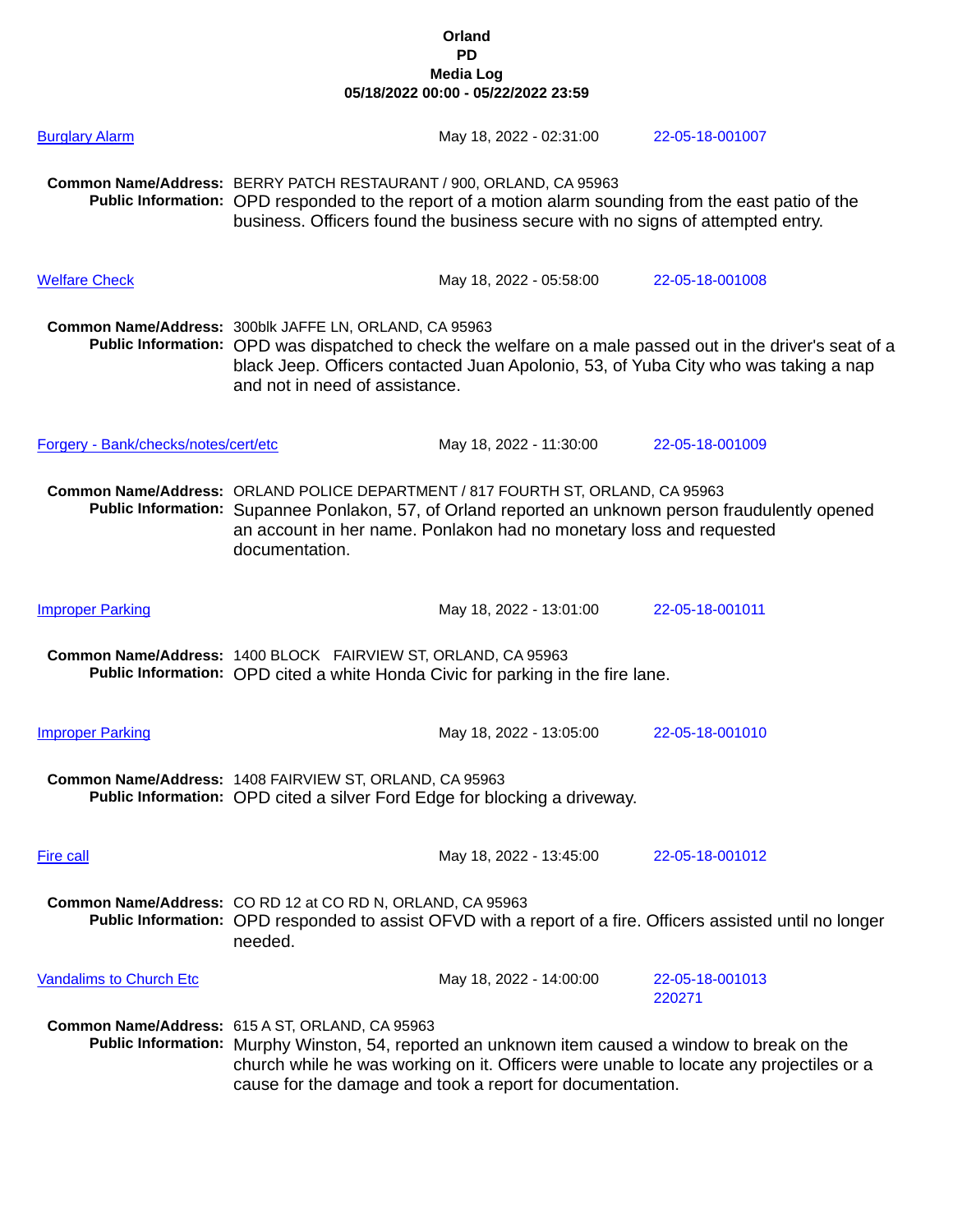| <b>Burglary Alarm</b>                |                                                                                                                                                                                                                                                                                                            | May 18, 2022 - 02:31:00                                                                                                                                                                 | 22-05-18-001007                                                                                                                                                                                   |
|--------------------------------------|------------------------------------------------------------------------------------------------------------------------------------------------------------------------------------------------------------------------------------------------------------------------------------------------------------|-----------------------------------------------------------------------------------------------------------------------------------------------------------------------------------------|---------------------------------------------------------------------------------------------------------------------------------------------------------------------------------------------------|
|                                      | Common Name/Address: BERRY PATCH RESTAURANT / 900, ORLAND, CA 95963                                                                                                                                                                                                                                        | Public Information: OPD responded to the report of a motion alarm sounding from the east patio of the<br>business. Officers found the business secure with no signs of attempted entry. |                                                                                                                                                                                                   |
| <b>Welfare Check</b>                 |                                                                                                                                                                                                                                                                                                            | May 18, 2022 - 05:58:00                                                                                                                                                                 | 22-05-18-001008                                                                                                                                                                                   |
|                                      | Common Name/Address: 300blk JAFFE LN, ORLAND, CA 95963<br>and not in need of assistance.                                                                                                                                                                                                                   |                                                                                                                                                                                         | Public Information: OPD was dispatched to check the welfare on a male passed out in the driver's seat of a<br>black Jeep. Officers contacted Juan Apolonio, 53, of Yuba City who was taking a nap |
| Forgery - Bank/checks/notes/cert/etc |                                                                                                                                                                                                                                                                                                            | May 18, 2022 - 11:30:00                                                                                                                                                                 | 22-05-18-001009                                                                                                                                                                                   |
|                                      | documentation.                                                                                                                                                                                                                                                                                             | Common Name/Address: ORLAND POLICE DEPARTMENT / 817 FOURTH ST, ORLAND, CA 95963<br>an account in her name. Ponlakon had no monetary loss and requested                                  | Public Information: Supannee Ponlakon, 57, of Orland reported an unknown person fraudulently opened                                                                                               |
| <b>Improper Parking</b>              |                                                                                                                                                                                                                                                                                                            | May 18, 2022 - 13:01:00                                                                                                                                                                 | 22-05-18-001011                                                                                                                                                                                   |
|                                      | Common Name/Address: 1400 BLOCK FAIRVIEW ST, ORLAND, CA 95963                                                                                                                                                                                                                                              | Public Information: OPD cited a white Honda Civic for parking in the fire lane.                                                                                                         |                                                                                                                                                                                                   |
| <b>Improper Parking</b>              |                                                                                                                                                                                                                                                                                                            | May 18, 2022 - 13:05:00                                                                                                                                                                 | 22-05-18-001010                                                                                                                                                                                   |
|                                      | Common Name/Address: 1408 FAIRVIEW ST, ORLAND, CA 95963                                                                                                                                                                                                                                                    | Public Information: OPD cited a silver Ford Edge for blocking a driveway.                                                                                                               |                                                                                                                                                                                                   |
| Fire call                            |                                                                                                                                                                                                                                                                                                            | May 18, 2022 - 13:45:00                                                                                                                                                                 | 22-05-18-001012                                                                                                                                                                                   |
|                                      | Common Name/Address: CO RD 12 at CO RD N, ORLAND, CA 95963<br>needed.                                                                                                                                                                                                                                      |                                                                                                                                                                                         | Public Information: OPD responded to assist OFVD with a report of a fire. Officers assisted until no longer                                                                                       |
| <b>Vandalims to Church Etc</b>       |                                                                                                                                                                                                                                                                                                            | May 18, 2022 - 14:00:00                                                                                                                                                                 | 22-05-18-001013<br>220271                                                                                                                                                                         |
|                                      | Common Name/Address: 615 A ST, ORLAND, CA 95963<br>Public Information: Murphy Winston, 54, reported an unknown item caused a window to break on the<br>church while he was working on it. Officers were unable to locate any projectiles or a<br>cause for the damage and took a report for documentation. |                                                                                                                                                                                         |                                                                                                                                                                                                   |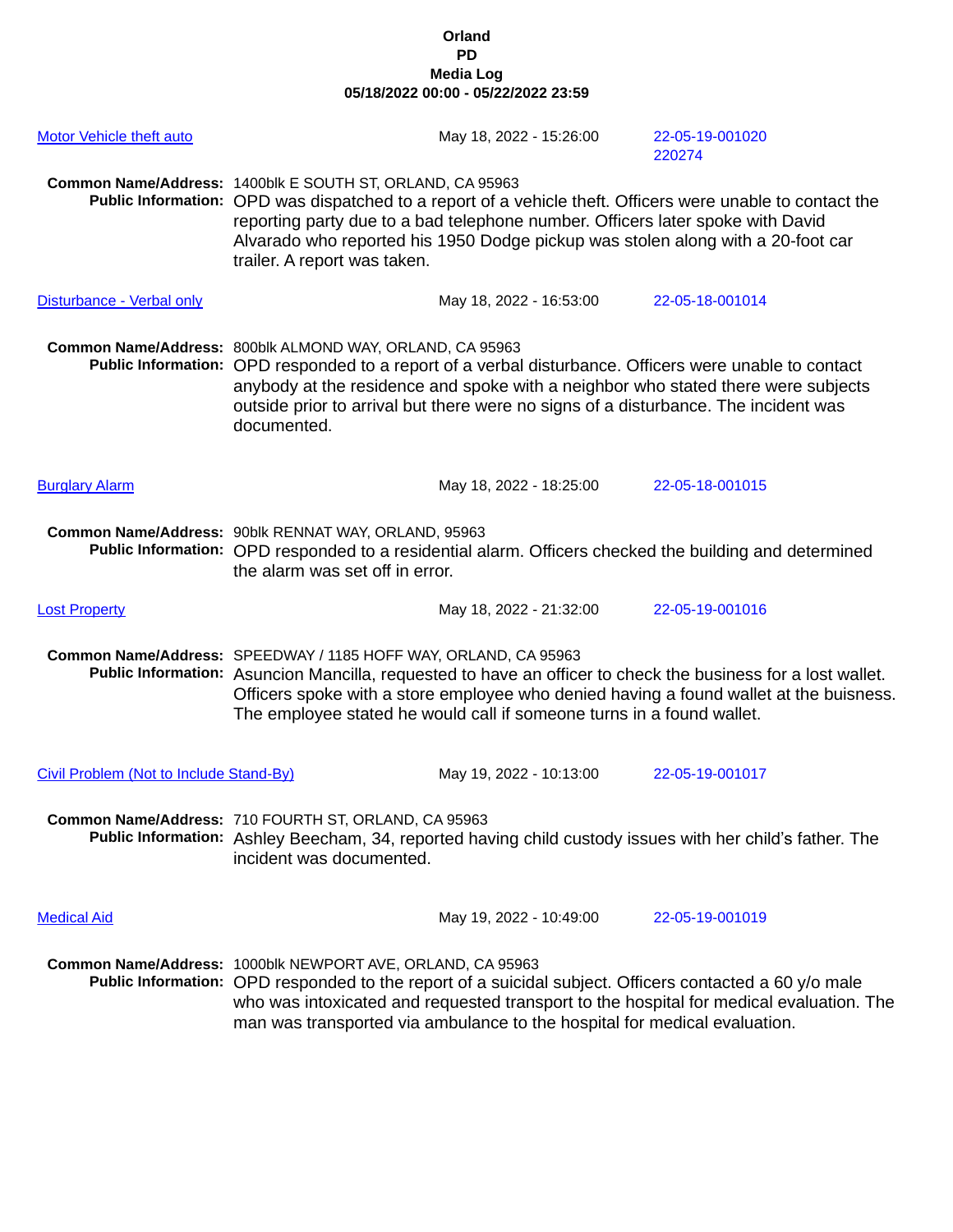| <b>Motor Vehicle theft auto</b>         | May 18, 2022 - 15:26:00                                                                                                                                                                                                                                                                                                                                                      | 22-05-19-001020<br>220274 |
|-----------------------------------------|------------------------------------------------------------------------------------------------------------------------------------------------------------------------------------------------------------------------------------------------------------------------------------------------------------------------------------------------------------------------------|---------------------------|
|                                         | Common Name/Address: 1400blk E SOUTH ST, ORLAND, CA 95963<br>Public Information: OPD was dispatched to a report of a vehicle theft. Officers were unable to contact the<br>reporting party due to a bad telephone number. Officers later spoke with David<br>Alvarado who reported his 1950 Dodge pickup was stolen along with a 20-foot car<br>trailer. A report was taken. |                           |
| Disturbance - Verbal only               | May 18, 2022 - 16:53:00                                                                                                                                                                                                                                                                                                                                                      | 22-05-18-001014           |
|                                         | Common Name/Address: 800blk ALMOND WAY, ORLAND, CA 95963<br>Public Information: OPD responded to a report of a verbal disturbance. Officers were unable to contact<br>anybody at the residence and spoke with a neighbor who stated there were subjects<br>outside prior to arrival but there were no signs of a disturbance. The incident was<br>documented.                |                           |
| <b>Burglary Alarm</b>                   | May 18, 2022 - 18:25:00                                                                                                                                                                                                                                                                                                                                                      | 22-05-18-001015           |
|                                         | Common Name/Address: 90blk RENNAT WAY, ORLAND, 95963<br>Public Information: OPD responded to a residential alarm. Officers checked the building and determined<br>the alarm was set off in error.                                                                                                                                                                            |                           |
| <b>Lost Property</b>                    | May 18, 2022 - 21:32:00                                                                                                                                                                                                                                                                                                                                                      | 22-05-19-001016           |
|                                         | Common Name/Address: SPEEDWAY / 1185 HOFF WAY, ORLAND, CA 95963<br>Public Information: Asuncion Mancilla, requested to have an officer to check the business for a lost wallet.<br>Officers spoke with a store employee who denied having a found wallet at the buisness.<br>The employee stated he would call if someone turns in a found wallet.                           |                           |
| Civil Problem (Not to Include Stand-By) | May 19, 2022 - 10:13:00                                                                                                                                                                                                                                                                                                                                                      | 22-05-19-001017           |
|                                         | Common Name/Address: 710 FOURTH ST, ORLAND, CA 95963<br>Public Information: Ashley Beecham, 34, reported having child custody issues with her child's father. The<br>incident was documented.                                                                                                                                                                                |                           |
| <b>Medical Aid</b>                      | May 19, 2022 - 10:49:00                                                                                                                                                                                                                                                                                                                                                      | 22-05-19-001019           |
|                                         | Common Name/Address: 1000blk NEWPORT AVE, ORLAND, CA 95963<br>Public Information: OPD responded to the report of a suicidal subject. Officers contacted a 60 y/o male<br>who was intoxicated and requested transport to the hospital for medical evaluation. The<br>man was transported via ambulance to the hospital for medical evaluation.                                |                           |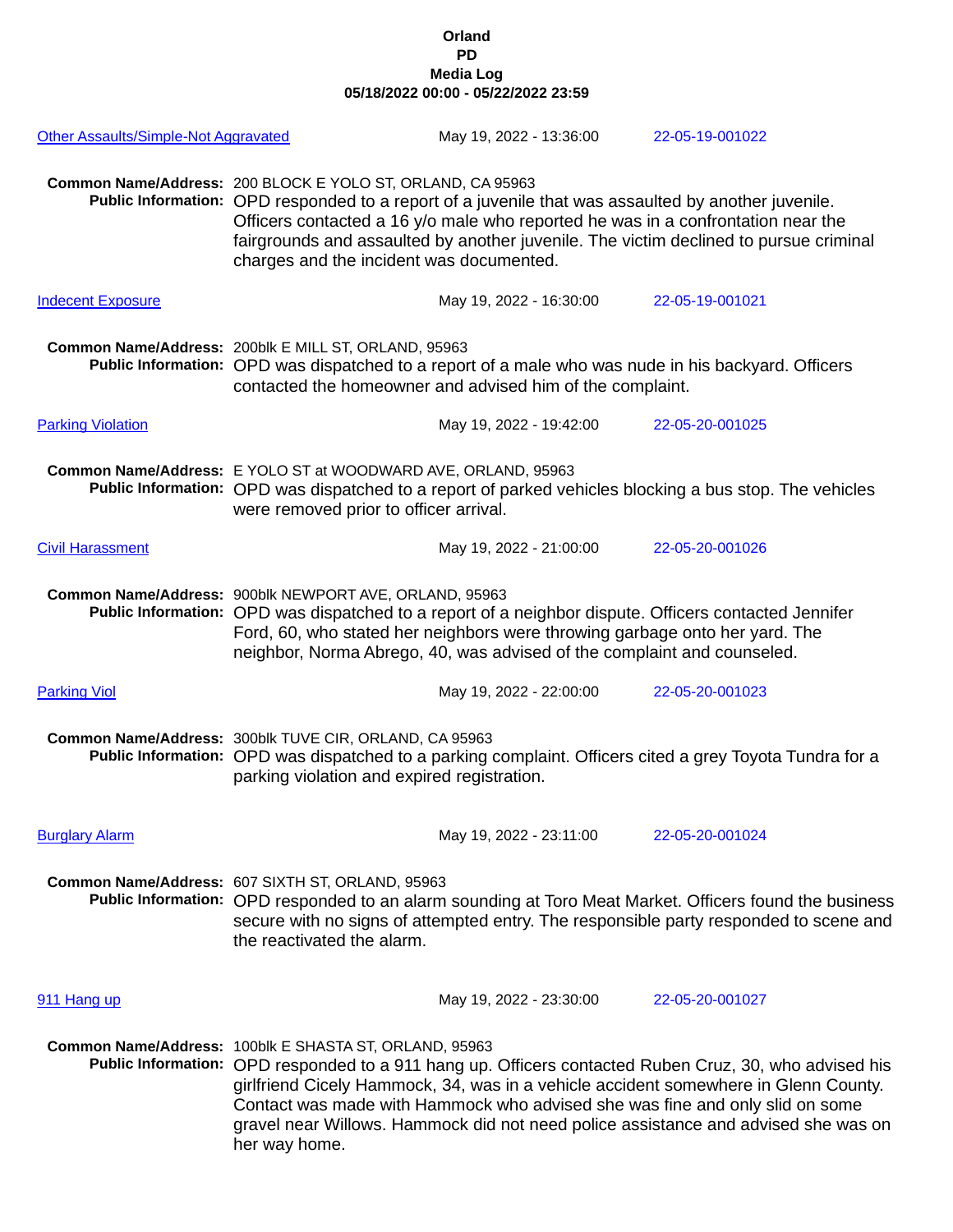| Other Assaults/Simple-Not Aggravated |                                                                                                                                                                                                                                                                                                                                                                                                                                                | May 19, 2022 - 13:36:00 |  | 22-05-19-001022 |  |
|--------------------------------------|------------------------------------------------------------------------------------------------------------------------------------------------------------------------------------------------------------------------------------------------------------------------------------------------------------------------------------------------------------------------------------------------------------------------------------------------|-------------------------|--|-----------------|--|
|                                      | Common Name/Address: 200 BLOCK E YOLO ST, ORLAND, CA 95963<br>Public Information: OPD responded to a report of a juvenile that was assaulted by another juvenile.<br>Officers contacted a 16 y/o male who reported he was in a confrontation near the<br>fairgrounds and assaulted by another juvenile. The victim declined to pursue criminal<br>charges and the incident was documented.                                                     |                         |  |                 |  |
| <b>Indecent Exposure</b>             |                                                                                                                                                                                                                                                                                                                                                                                                                                                | May 19, 2022 - 16:30:00 |  | 22-05-19-001021 |  |
|                                      | Common Name/Address: 200blk E MILL ST, ORLAND, 95963<br>Public Information: OPD was dispatched to a report of a male who was nude in his backyard. Officers<br>contacted the homeowner and advised him of the complaint.                                                                                                                                                                                                                       |                         |  |                 |  |
| <b>Parking Violation</b>             |                                                                                                                                                                                                                                                                                                                                                                                                                                                | May 19, 2022 - 19:42:00 |  | 22-05-20-001025 |  |
|                                      | Common Name/Address: E YOLO ST at WOODWARD AVE, ORLAND, 95963<br>Public Information: OPD was dispatched to a report of parked vehicles blocking a bus stop. The vehicles<br>were removed prior to officer arrival.                                                                                                                                                                                                                             |                         |  |                 |  |
| <b>Civil Harassment</b>              |                                                                                                                                                                                                                                                                                                                                                                                                                                                | May 19, 2022 - 21:00:00 |  | 22-05-20-001026 |  |
|                                      | Common Name/Address: 900blk NEWPORT AVE, ORLAND, 95963<br>Public Information: OPD was dispatched to a report of a neighbor dispute. Officers contacted Jennifer<br>Ford, 60, who stated her neighbors were throwing garbage onto her yard. The<br>neighbor, Norma Abrego, 40, was advised of the complaint and counseled.                                                                                                                      |                         |  |                 |  |
| <b>Parking Viol</b>                  |                                                                                                                                                                                                                                                                                                                                                                                                                                                | May 19, 2022 - 22:00:00 |  | 22-05-20-001023 |  |
|                                      | Common Name/Address: 300blk TUVE CIR, ORLAND, CA 95963<br>Public Information: OPD was dispatched to a parking complaint. Officers cited a grey Toyota Tundra for a<br>parking violation and expired registration.                                                                                                                                                                                                                              |                         |  |                 |  |
| <b>Burglary Alarm</b>                |                                                                                                                                                                                                                                                                                                                                                                                                                                                | May 19, 2022 - 23:11:00 |  | 22-05-20-001024 |  |
|                                      | Common Name/Address: 607 SIXTH ST, ORLAND, 95963<br>Public Information: OPD responded to an alarm sounding at Toro Meat Market. Officers found the business<br>secure with no signs of attempted entry. The responsible party responded to scene and<br>the reactivated the alarm.                                                                                                                                                             |                         |  |                 |  |
| 911 Hang up                          |                                                                                                                                                                                                                                                                                                                                                                                                                                                | May 19, 2022 - 23:30:00 |  | 22-05-20-001027 |  |
|                                      | Common Name/Address: 100blk E SHASTA ST, ORLAND, 95963<br>Public Information: OPD responded to a 911 hang up. Officers contacted Ruben Cruz, 30, who advised his<br>girlfriend Cicely Hammock, 34, was in a vehicle accident somewhere in Glenn County.<br>Contact was made with Hammock who advised she was fine and only slid on some<br>gravel near Willows. Hammock did not need police assistance and advised she was on<br>her way home. |                         |  |                 |  |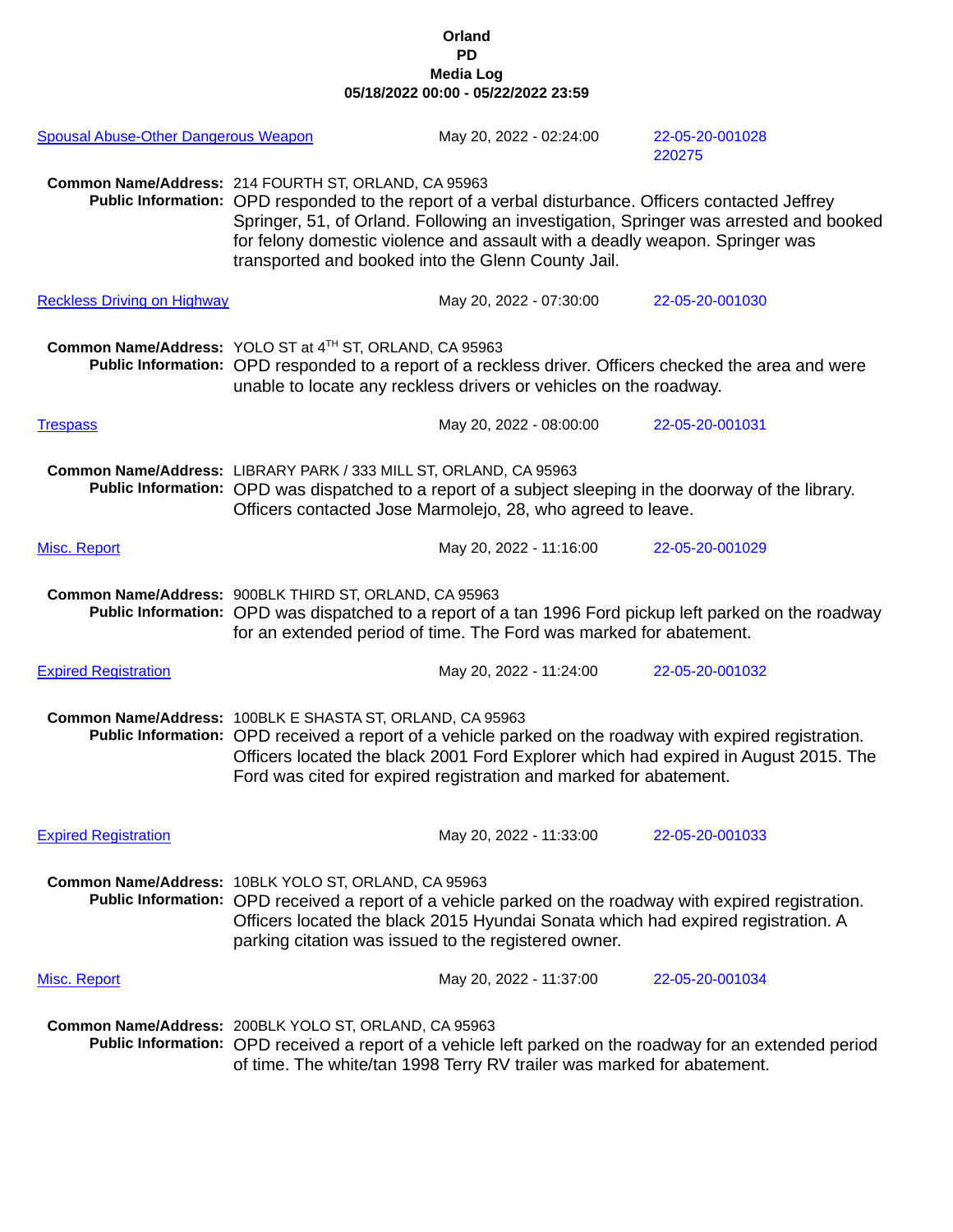| <b>Spousal Abuse-Other Dangerous Weapon</b> |                                                                   | May 20, 2022 - 02:24:00                                                                                                                                                                                                                  | 22-05-20-001028<br>220275                                                                                                                                                                      |
|---------------------------------------------|-------------------------------------------------------------------|------------------------------------------------------------------------------------------------------------------------------------------------------------------------------------------------------------------------------------------|------------------------------------------------------------------------------------------------------------------------------------------------------------------------------------------------|
|                                             | Common Name/Address: 214 FOURTH ST, ORLAND, CA 95963              | Public Information: OPD responded to the report of a verbal disturbance. Officers contacted Jeffrey<br>for felony domestic violence and assault with a deadly weapon. Springer was<br>transported and booked into the Glenn County Jail. | Springer, 51, of Orland. Following an investigation, Springer was arrested and booked                                                                                                          |
| <b>Reckless Driving on Highway</b>          |                                                                   | May 20, 2022 - 07:30:00                                                                                                                                                                                                                  | 22-05-20-001030                                                                                                                                                                                |
|                                             | Common Name/Address: YOLO ST at 4TH ST, ORLAND, CA 95963          | unable to locate any reckless drivers or vehicles on the roadway.                                                                                                                                                                        | Public Information: OPD responded to a report of a reckless driver. Officers checked the area and were                                                                                         |
| <b>Trespass</b>                             |                                                                   | May 20, 2022 - 08:00:00                                                                                                                                                                                                                  | 22-05-20-001031                                                                                                                                                                                |
|                                             | Common Name/Address: LIBRARY PARK / 333 MILL ST, ORLAND, CA 95963 | Officers contacted Jose Marmolejo, 28, who agreed to leave.                                                                                                                                                                              | Public Information: OPD was dispatched to a report of a subject sleeping in the doorway of the library.                                                                                        |
| Misc. Report                                |                                                                   | May 20, 2022 - 11:16:00                                                                                                                                                                                                                  | 22-05-20-001029                                                                                                                                                                                |
|                                             | Common Name/Address: 900BLK THIRD ST, ORLAND, CA 95963            | for an extended period of time. The Ford was marked for abatement.                                                                                                                                                                       | Public Information: OPD was dispatched to a report of a tan 1996 Ford pickup left parked on the roadway                                                                                        |
| <b>Expired Registration</b>                 |                                                                   | May 20, 2022 - 11:24:00                                                                                                                                                                                                                  | 22-05-20-001032                                                                                                                                                                                |
|                                             | Common Name/Address: 100BLK E SHASTA ST, ORLAND, CA 95963         | Ford was cited for expired registration and marked for abatement.                                                                                                                                                                        | Public Information: OPD received a report of a vehicle parked on the roadway with expired registration.<br>Officers located the black 2001 Ford Explorer which had expired in August 2015. The |
| <b>Expired Registration</b>                 |                                                                   | May 20, 2022 - 11:33:00                                                                                                                                                                                                                  | 22-05-20-001033                                                                                                                                                                                |
|                                             | Common Name/Address: 10BLK YOLO ST, ORLAND, CA 95963              | Officers located the black 2015 Hyundai Sonata which had expired registration. A<br>parking citation was issued to the registered owner.                                                                                                 | Public Information: OPD received a report of a vehicle parked on the roadway with expired registration.                                                                                        |
| Misc. Report                                |                                                                   | May 20, 2022 - 11:37:00                                                                                                                                                                                                                  | 22-05-20-001034                                                                                                                                                                                |
|                                             | Common Name/Address: 200BLK YOLO ST, ORLAND, CA 95963             | of time. The white/tan 1998 Terry RV trailer was marked for abatement.                                                                                                                                                                   | Public Information: OPD received a report of a vehicle left parked on the roadway for an extended period                                                                                       |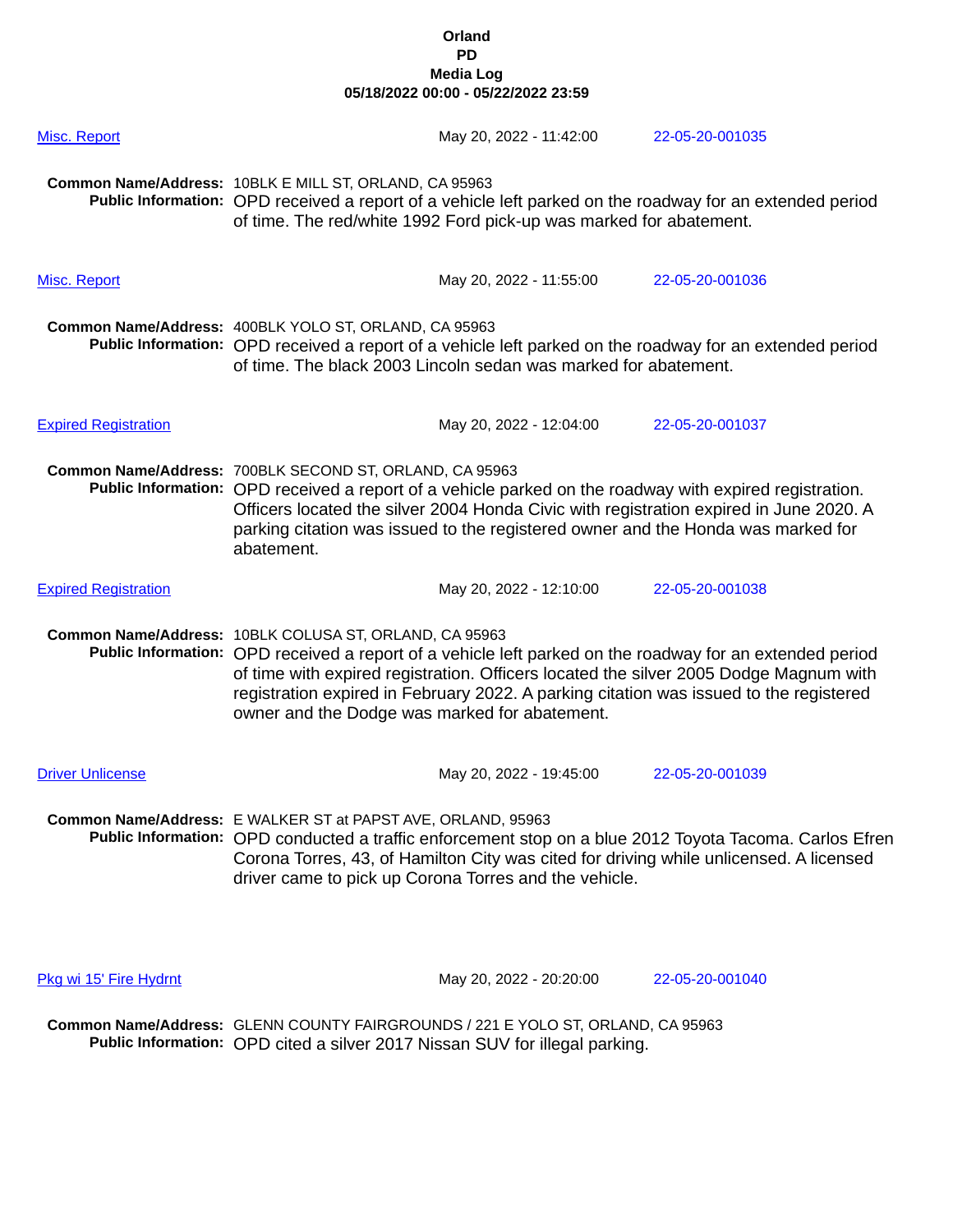| Misc. Report                | May 20, 2022 - 11:42:00                                                                                                                                                                                                                                                                                                                                                                                | 22-05-20-001035 |
|-----------------------------|--------------------------------------------------------------------------------------------------------------------------------------------------------------------------------------------------------------------------------------------------------------------------------------------------------------------------------------------------------------------------------------------------------|-----------------|
|                             | Common Name/Address: 10BLK E MILL ST, ORLAND, CA 95963<br>Public Information: OPD received a report of a vehicle left parked on the roadway for an extended period<br>of time. The red/white 1992 Ford pick-up was marked for abatement.                                                                                                                                                               |                 |
| Misc. Report                | May 20, 2022 - 11:55:00                                                                                                                                                                                                                                                                                                                                                                                | 22-05-20-001036 |
|                             | Common Name/Address: 400BLK YOLO ST, ORLAND, CA 95963<br>Public Information: OPD received a report of a vehicle left parked on the roadway for an extended period<br>of time. The black 2003 Lincoln sedan was marked for abatement.                                                                                                                                                                   |                 |
| <b>Expired Registration</b> | May 20, 2022 - 12:04:00                                                                                                                                                                                                                                                                                                                                                                                | 22-05-20-001037 |
|                             | Common Name/Address: 700BLK SECOND ST, ORLAND, CA 95963<br>Public Information: OPD received a report of a vehicle parked on the roadway with expired registration.<br>Officers located the silver 2004 Honda Civic with registration expired in June 2020. A<br>parking citation was issued to the registered owner and the Honda was marked for<br>abatement.                                         |                 |
| <b>Expired Registration</b> | May 20, 2022 - 12:10:00                                                                                                                                                                                                                                                                                                                                                                                | 22-05-20-001038 |
|                             | Common Name/Address: 10BLK COLUSA ST, ORLAND, CA 95963<br>Public Information: OPD received a report of a vehicle left parked on the roadway for an extended period<br>of time with expired registration. Officers located the silver 2005 Dodge Magnum with<br>registration expired in February 2022. A parking citation was issued to the registered<br>owner and the Dodge was marked for abatement. |                 |
| <b>Driver Unlicense</b>     | May 20, 2022 - 19:45:00                                                                                                                                                                                                                                                                                                                                                                                | 22-05-20-001039 |
|                             | Common Name/Address: E WALKER ST at PAPST AVE, ORLAND, 95963<br>Public Information: OPD conducted a traffic enforcement stop on a blue 2012 Toyota Tacoma. Carlos Efren<br>Corona Torres, 43, of Hamilton City was cited for driving while unlicensed. A licensed<br>driver came to pick up Corona Torres and the vehicle.                                                                             |                 |
| Pkg wi 15' Fire Hydrnt      | May 20, 2022 - 20:20:00                                                                                                                                                                                                                                                                                                                                                                                | 22-05-20-001040 |

**Common Name/Address:** GLENN COUNTY FAIRGROUNDS / 221 E YOLO ST, ORLAND, CA 95963 **Public Information:** OPD cited a silver 2017 Nissan SUV for illegal parking.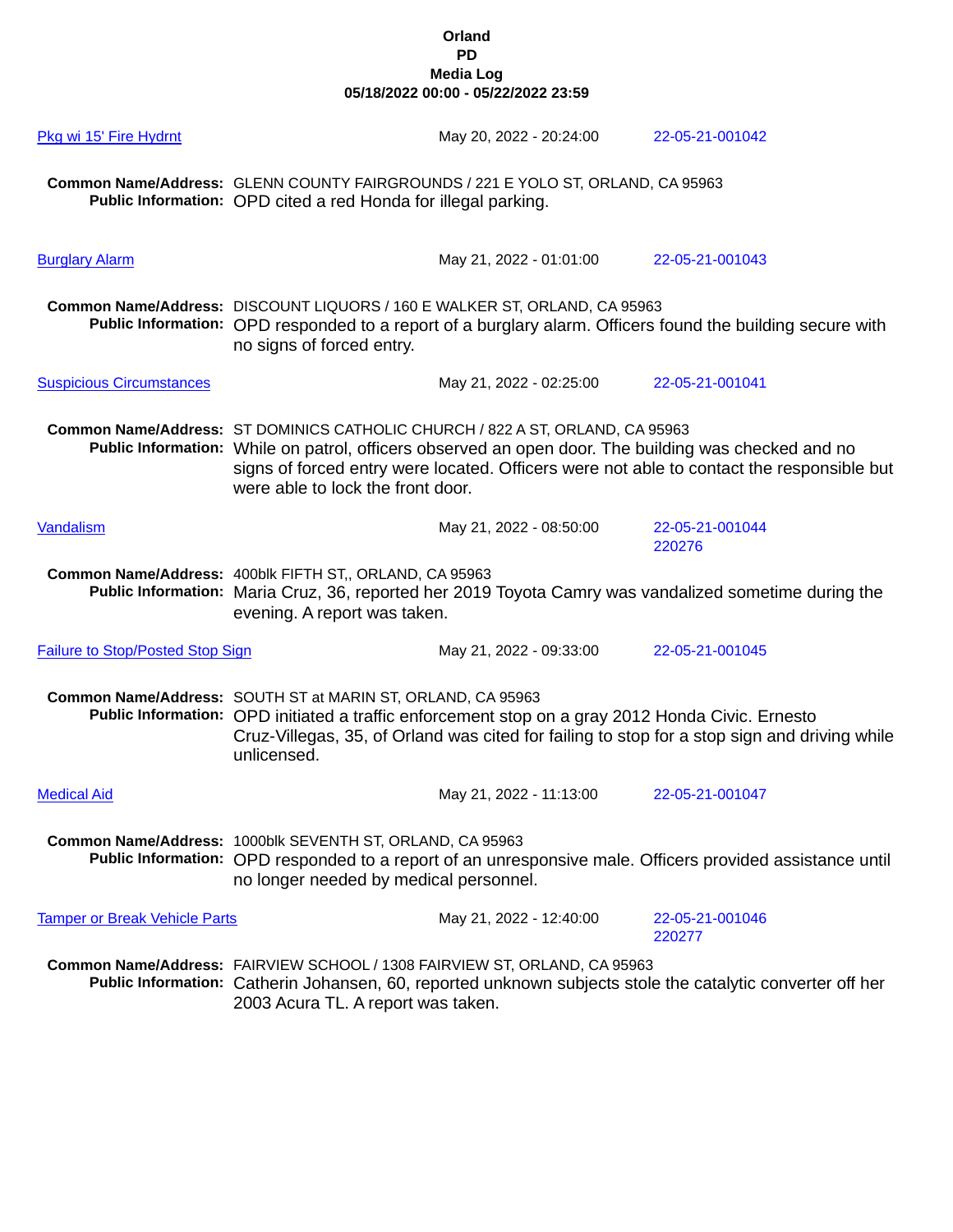| Pkg wi 15' Fire Hydrnt                  |                                                                                                                                                                                                  | May 20, 2022 - 20:24:00                                                                                                                                                               | 22-05-21-001042                                                                                            |
|-----------------------------------------|--------------------------------------------------------------------------------------------------------------------------------------------------------------------------------------------------|---------------------------------------------------------------------------------------------------------------------------------------------------------------------------------------|------------------------------------------------------------------------------------------------------------|
|                                         | Public Information: OPD cited a red Honda for illegal parking.                                                                                                                                   | Common Name/Address: GLENN COUNTY FAIRGROUNDS / 221 E YOLO ST, ORLAND, CA 95963                                                                                                       |                                                                                                            |
| <b>Burglary Alarm</b>                   |                                                                                                                                                                                                  | May 21, 2022 - 01:01:00                                                                                                                                                               | 22-05-21-001043                                                                                            |
|                                         | no signs of forced entry.                                                                                                                                                                        | Common Name/Address: DISCOUNT LIQUORS / 160 E WALKER ST, ORLAND, CA 95963                                                                                                             | Public Information: OPD responded to a report of a burglary alarm. Officers found the building secure with |
| <b>Suspicious Circumstances</b>         |                                                                                                                                                                                                  | May 21, 2022 - 02:25:00                                                                                                                                                               | 22-05-21-001041                                                                                            |
|                                         | were able to lock the front door.                                                                                                                                                                | Common Name/Address: ST DOMINICS CATHOLIC CHURCH / 822 A ST, ORLAND, CA 95963<br>Public Information: While on patrol, officers observed an open door. The building was checked and no | signs of forced entry were located. Officers were not able to contact the responsible but                  |
| Vandalism                               |                                                                                                                                                                                                  | May 21, 2022 - 08:50:00                                                                                                                                                               | 22-05-21-001044<br>220276                                                                                  |
|                                         | Common Name/Address: 400blk FIFTH ST,, ORLAND, CA 95963<br>Public Information: Maria Cruz, 36, reported her 2019 Toyota Camry was vandalized sometime during the<br>evening. A report was taken. |                                                                                                                                                                                       |                                                                                                            |
| <b>Failure to Stop/Posted Stop Sign</b> |                                                                                                                                                                                                  | May 21, 2022 - 09:33:00                                                                                                                                                               | 22-05-21-001045                                                                                            |
|                                         | Common Name/Address: SOUTH ST at MARIN ST, ORLAND, CA 95963<br>unlicensed.                                                                                                                       | Public Information: OPD initiated a traffic enforcement stop on a gray 2012 Honda Civic. Ernesto                                                                                      | Cruz-Villegas, 35, of Orland was cited for failing to stop for a stop sign and driving while               |
| <b>Medical Aid</b>                      |                                                                                                                                                                                                  | May 21, 2022 - 11:13:00                                                                                                                                                               | 22-05-21-001047                                                                                            |
|                                         | Common Name/Address: 1000blk SEVENTH ST, ORLAND, CA 95963<br>no longer needed by medical personnel.                                                                                              |                                                                                                                                                                                       | Public Information: OPD responded to a report of an unresponsive male. Officers provided assistance until  |
| <b>Tamper or Break Vehicle Parts</b>    |                                                                                                                                                                                                  | May 21, 2022 - 12:40:00                                                                                                                                                               | 22-05-21-001046<br>220277                                                                                  |
|                                         | 2003 Acura TL. A report was taken.                                                                                                                                                               | Common Name/Address: FAIRVIEW SCHOOL / 1308 FAIRVIEW ST, ORLAND, CA 95963                                                                                                             | Public Information: Catherin Johansen, 60, reported unknown subjects stole the catalytic converter off her |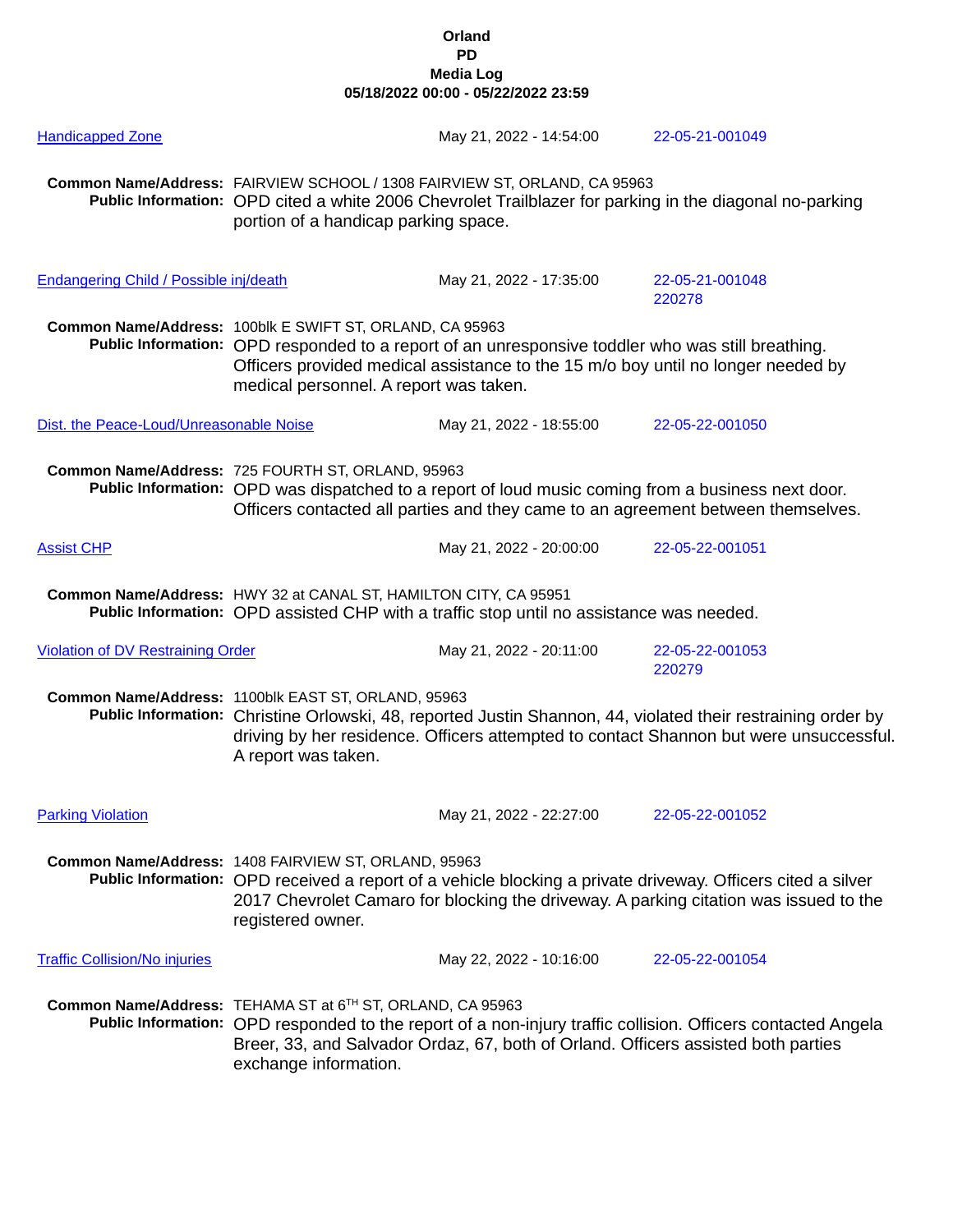| <b>Handicapped Zone</b>                                                                                                                                      |                                                                                                                                                                                                                                                                                          | May 21, 2022 - 14:54:00                                                                                                                                                               | 22-05-21-001049                                                                                                                                                                                        |  |
|--------------------------------------------------------------------------------------------------------------------------------------------------------------|------------------------------------------------------------------------------------------------------------------------------------------------------------------------------------------------------------------------------------------------------------------------------------------|---------------------------------------------------------------------------------------------------------------------------------------------------------------------------------------|--------------------------------------------------------------------------------------------------------------------------------------------------------------------------------------------------------|--|
|                                                                                                                                                              | Common Name/Address: FAIRVIEW SCHOOL / 1308 FAIRVIEW ST, ORLAND, CA 95963<br>Public Information: OPD cited a white 2006 Chevrolet Trailblazer for parking in the diagonal no-parking<br>portion of a handicap parking space.                                                             |                                                                                                                                                                                       |                                                                                                                                                                                                        |  |
| <b>Endangering Child / Possible inj/death</b>                                                                                                                |                                                                                                                                                                                                                                                                                          | May 21, 2022 - 17:35:00                                                                                                                                                               | 22-05-21-001048<br>220278                                                                                                                                                                              |  |
|                                                                                                                                                              | Common Name/Address: 100blk E SWIFT ST, ORLAND, CA 95963<br>medical personnel. A report was taken.                                                                                                                                                                                       | Public Information: OPD responded to a report of an unresponsive toddler who was still breathing.<br>Officers provided medical assistance to the 15 m/o boy until no longer needed by |                                                                                                                                                                                                        |  |
| Dist. the Peace-Loud/Unreasonable Noise                                                                                                                      |                                                                                                                                                                                                                                                                                          | May 21, 2022 - 18:55:00                                                                                                                                                               | 22-05-22-001050                                                                                                                                                                                        |  |
|                                                                                                                                                              | Common Name/Address: 725 FOURTH ST, ORLAND, 95963<br>Public Information: OPD was dispatched to a report of loud music coming from a business next door.<br>Officers contacted all parties and they came to an agreement between themselves.                                              |                                                                                                                                                                                       |                                                                                                                                                                                                        |  |
| <b>Assist CHP</b>                                                                                                                                            |                                                                                                                                                                                                                                                                                          | May 21, 2022 - 20:00:00                                                                                                                                                               | 22-05-22-001051                                                                                                                                                                                        |  |
| Common Name/Address: HWY 32 at CANAL ST, HAMILTON CITY, CA 95951<br>Public Information: OPD assisted CHP with a traffic stop until no assistance was needed. |                                                                                                                                                                                                                                                                                          |                                                                                                                                                                                       |                                                                                                                                                                                                        |  |
| <b>Violation of DV Restraining Order</b>                                                                                                                     |                                                                                                                                                                                                                                                                                          | May 21, 2022 - 20:11:00                                                                                                                                                               | 22-05-22-001053<br>220279                                                                                                                                                                              |  |
|                                                                                                                                                              | Common Name/Address: 1100blk EAST ST, ORLAND, 95963<br>A report was taken.                                                                                                                                                                                                               |                                                                                                                                                                                       | Public Information: Christine Orlowski, 48, reported Justin Shannon, 44, violated their restraining order by<br>driving by her residence. Officers attempted to contact Shannon but were unsuccessful. |  |
| <b>Parking Violation</b>                                                                                                                                     |                                                                                                                                                                                                                                                                                          | May 21, 2022 - 22:27:00                                                                                                                                                               | 22-05-22-001052                                                                                                                                                                                        |  |
|                                                                                                                                                              | Common Name/Address: 1408 FAIRVIEW ST, ORLAND, 95963<br>registered owner.                                                                                                                                                                                                                |                                                                                                                                                                                       | Public Information: OPD received a report of a vehicle blocking a private driveway. Officers cited a silver<br>2017 Chevrolet Camaro for blocking the driveway. A parking citation was issued to the   |  |
| <b>Traffic Collision/No injuries</b>                                                                                                                         |                                                                                                                                                                                                                                                                                          | May 22, 2022 - 10:16:00                                                                                                                                                               | 22-05-22-001054                                                                                                                                                                                        |  |
|                                                                                                                                                              | Common Name/Address: TEHAMA ST at 6TH ST, ORLAND, CA 95963<br>Public Information: OPD responded to the report of a non-injury traffic collision. Officers contacted Angela<br>Breer, 33, and Salvador Ordaz, 67, both of Orland. Officers assisted both parties<br>exchange information. |                                                                                                                                                                                       |                                                                                                                                                                                                        |  |